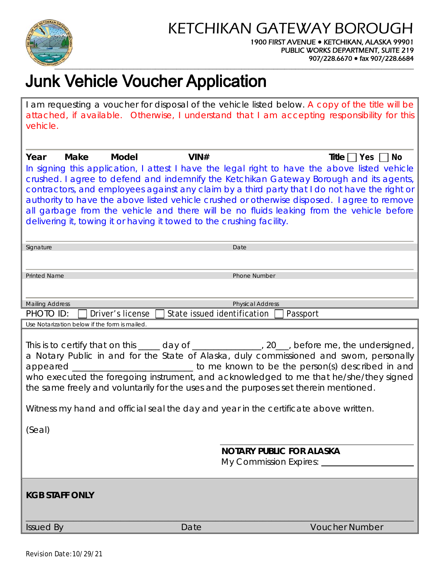

## KETCHIKAN GATEWAY BOROUGH

#### 1900 FIRST AVENUE **●** KETCHIKAN, ALASKA 99901 PUBLIC WORKS DEPARTMENT, SUITE 219 907/228.6670 **●** fax 907/228.6684

# **Junk Vehicle Voucher Application**

I am requesting a voucher for disposal of the vehicle listed below. A copy of the title will be attached, if available. Otherwise, I understand that I am accepting responsibility for this vehicle.

| Make<br>Year                                                                                                                                                                                                                                                                                                                                                                                                                                                                                                                                                              | Model<br>VIN#<br>In signing this application, I attest I have the legal right to have the above listed vehicle<br>crushed. I agree to defend and indemnify the Ketchikan Gateway Borough and its agents,<br>contractors, and employees against any claim by a third party that I do not have the right or<br>authority to have the above listed vehicle crushed or otherwise disposed. I agree to remove<br>all garbage from the vehicle and there will be no fluids leaking from the vehicle before<br>delivering it, towing it or having it towed to the crushing facility. | Title $ $   Yes     No                                        |  |  |
|---------------------------------------------------------------------------------------------------------------------------------------------------------------------------------------------------------------------------------------------------------------------------------------------------------------------------------------------------------------------------------------------------------------------------------------------------------------------------------------------------------------------------------------------------------------------------|-------------------------------------------------------------------------------------------------------------------------------------------------------------------------------------------------------------------------------------------------------------------------------------------------------------------------------------------------------------------------------------------------------------------------------------------------------------------------------------------------------------------------------------------------------------------------------|---------------------------------------------------------------|--|--|
| Signature                                                                                                                                                                                                                                                                                                                                                                                                                                                                                                                                                                 | Date                                                                                                                                                                                                                                                                                                                                                                                                                                                                                                                                                                          |                                                               |  |  |
| <b>Printed Name</b>                                                                                                                                                                                                                                                                                                                                                                                                                                                                                                                                                       | <b>Phone Number</b>                                                                                                                                                                                                                                                                                                                                                                                                                                                                                                                                                           |                                                               |  |  |
| <b>Mailing Address</b>                                                                                                                                                                                                                                                                                                                                                                                                                                                                                                                                                    | <b>Physical Address</b>                                                                                                                                                                                                                                                                                                                                                                                                                                                                                                                                                       |                                                               |  |  |
| PHOTO ID:<br>Use Notarization below if the form is mailed.                                                                                                                                                                                                                                                                                                                                                                                                                                                                                                                | Driver's license<br>State issued identification                                                                                                                                                                                                                                                                                                                                                                                                                                                                                                                               | Passport                                                      |  |  |
| This is to certify that on this _____ day of _______________, 20___, before me, the undersigned,<br>a Notary Public in and for the State of Alaska, duly commissioned and sworn, personally<br>appeared _____________________________ to me known to be the person(s) described in and<br>who executed the foregoing instrument, and acknowledged to me that he/she/they signed<br>the same freely and voluntarily for the uses and the purposes set therein mentioned.<br>Witness my hand and official seal the day and year in the certificate above written.<br>(Seal) |                                                                                                                                                                                                                                                                                                                                                                                                                                                                                                                                                                               |                                                               |  |  |
| <b>KGB STAFF ONLY</b>                                                                                                                                                                                                                                                                                                                                                                                                                                                                                                                                                     |                                                                                                                                                                                                                                                                                                                                                                                                                                                                                                                                                                               | <b>NOTARY PUBLIC FOR ALASKA</b><br>My Commission Expires: ___ |  |  |
| <b>Issued By</b>                                                                                                                                                                                                                                                                                                                                                                                                                                                                                                                                                          | Date                                                                                                                                                                                                                                                                                                                                                                                                                                                                                                                                                                          | <b>Voucher Number</b>                                         |  |  |